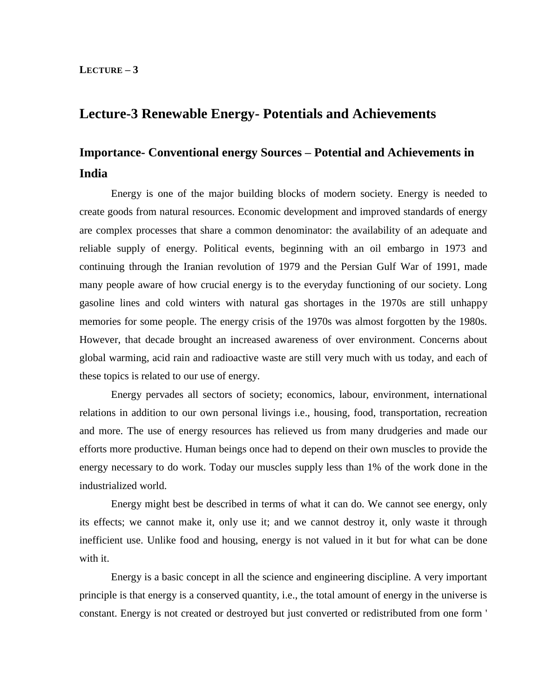# **Lecture-3 Renewable Energy- Potentials and Achievements**

# **Importance- Conventional energy Sources – Potential and Achievements in India**

Energy is one of the major building blocks of modern society. Energy is needed to create goods from natural resources. Economic development and improved standards of energy are complex processes that share a common denominator: the availability of an adequate and reliable supply of energy. Political events, beginning with an oil embargo in 1973 and continuing through the Iranian revolution of 1979 and the Persian Gulf War of 1991, made many people aware of how crucial energy is to the everyday functioning of our society. Long gasoline lines and cold winters with natural gas shortages in the 1970s are still unhappy memories for some people. The energy crisis of the 1970s was almost forgotten by the 1980s. However, that decade brought an increased awareness of over environment. Concerns about global warming, acid rain and radioactive waste are still very much with us today, and each of these topics is related to our use of energy.

Energy pervades all sectors of society; economics, labour, environment, international relations in addition to our own personal livings i.e., housing, food, transportation, recreation and more. The use of energy resources has relieved us from many drudgeries and made our efforts more productive. Human beings once had to depend on their own muscles to provide the energy necessary to do work. Today our muscles supply less than 1% of the work done in the industrialized world.

Energy might best be described in terms of what it can do. We cannot see energy, only its effects; we cannot make it, only use it; and we cannot destroy it, only waste it through inefficient use. Unlike food and housing, energy is not valued in it but for what can be done with it.

Energy is a basic concept in all the science and engineering discipline. A very important principle is that energy is a conserved quantity, i.e., the total amount of energy in the universe is constant. Energy is not created or destroyed but just converted or redistributed from one form '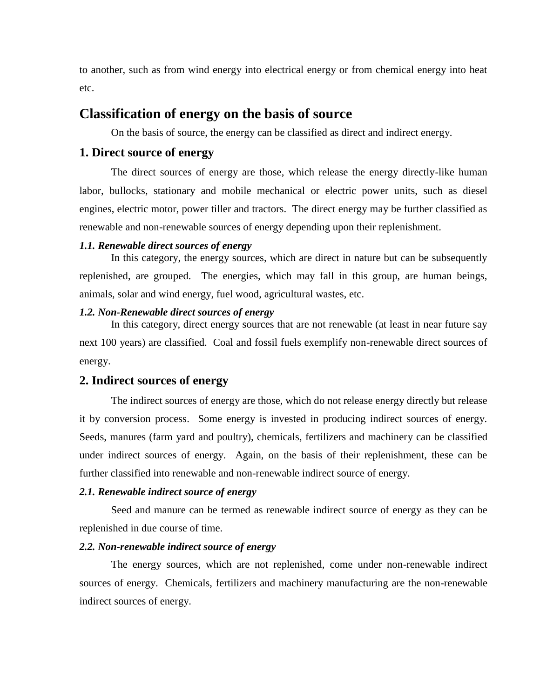to another, such as from wind energy into electrical energy or from chemical energy into heat etc.

# **Classification of energy on the basis of source**

On the basis of source, the energy can be classified as direct and indirect energy.

#### **1. Direct source of energy**

The direct sources of energy are those, which release the energy directly-like human labor, bullocks, stationary and mobile mechanical or electric power units, such as diesel engines, electric motor, power tiller and tractors. The direct energy may be further classified as renewable and non-renewable sources of energy depending upon their replenishment.

#### *1.1. Renewable direct sources of energy*

In this category, the energy sources, which are direct in nature but can be subsequently replenished, are grouped. The energies, which may fall in this group, are human beings, animals, solar and wind energy, fuel wood, agricultural wastes, etc.

#### *1.2. Non-Renewable direct sources of energy*

In this category, direct energy sources that are not renewable (at least in near future say next 100 years) are classified. Coal and fossil fuels exemplify non-renewable direct sources of energy.

#### **2. Indirect sources of energy**

The indirect sources of energy are those, which do not release energy directly but release it by conversion process. Some energy is invested in producing indirect sources of energy. Seeds, manures (farm yard and poultry), chemicals, fertilizers and machinery can be classified under indirect sources of energy. Again, on the basis of their replenishment, these can be further classified into renewable and non-renewable indirect source of energy.

#### *2.1. Renewable indirect source of energy*

Seed and manure can be termed as renewable indirect source of energy as they can be replenished in due course of time.

#### *2.2. Non-renewable indirect source of energy*

The energy sources, which are not replenished, come under non-renewable indirect sources of energy. Chemicals, fertilizers and machinery manufacturing are the non-renewable indirect sources of energy.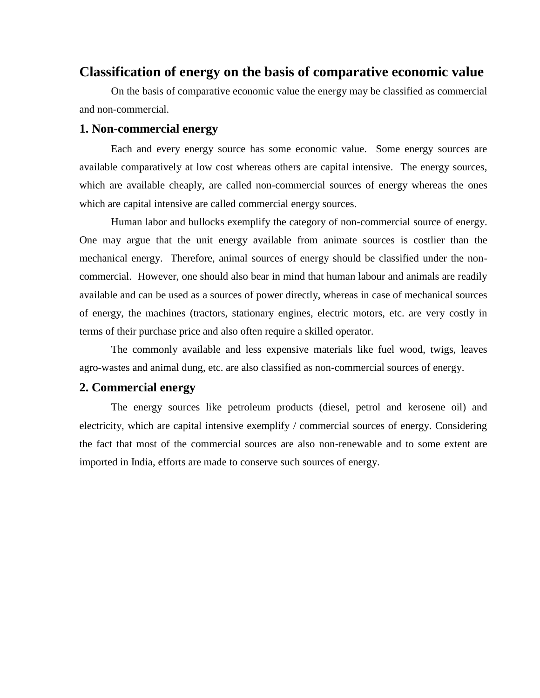# **Classification of energy on the basis of comparative economic value**

On the basis of comparative economic value the energy may be classified as commercial and non-commercial.

#### **1. Non-commercial energy**

Each and every energy source has some economic value. Some energy sources are available comparatively at low cost whereas others are capital intensive. The energy sources, which are available cheaply, are called non-commercial sources of energy whereas the ones which are capital intensive are called commercial energy sources.

Human labor and bullocks exemplify the category of non-commercial source of energy. One may argue that the unit energy available from animate sources is costlier than the mechanical energy. Therefore, animal sources of energy should be classified under the noncommercial. However, one should also bear in mind that human labour and animals are readily available and can be used as a sources of power directly, whereas in case of mechanical sources of energy, the machines (tractors, stationary engines, electric motors, etc. are very costly in terms of their purchase price and also often require a skilled operator.

The commonly available and less expensive materials like fuel wood, twigs, leaves agro-wastes and animal dung, etc. are also classified as non-commercial sources of energy.

### **2. Commercial energy**

The energy sources like petroleum products (diesel, petrol and kerosene oil) and electricity, which are capital intensive exemplify / commercial sources of energy. Considering the fact that most of the commercial sources are also non-renewable and to some extent are imported in India, efforts are made to conserve such sources of energy.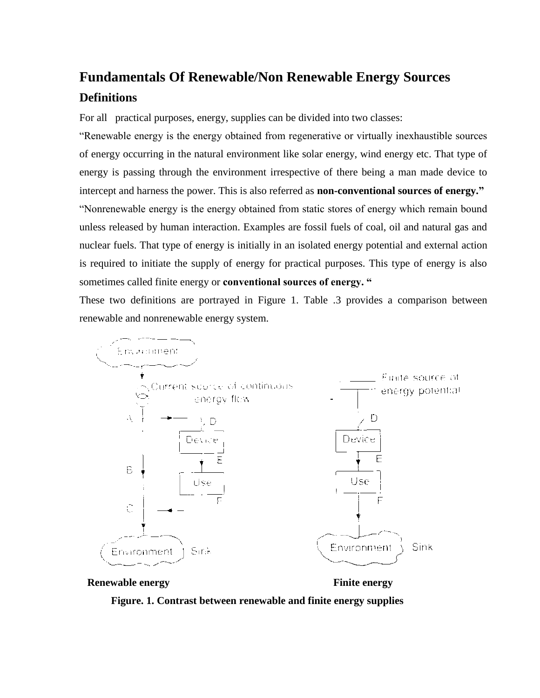# **Fundamentals Of Renewable/Non Renewable Energy Sources Definitions**

For all practical purposes, energy, supplies can be divided into two classes:

"Renewable energy is the energy obtained from regenerative or virtually inexhaustible sources of energy occurring in the natural environment like solar energy, wind energy etc. That type of energy is passing through the environment irrespective of there being a man made device to intercept and harness the power. This is also referred as **non-conventional sources of energy."** "Nonrenewable energy is the energy obtained from static stores of energy which remain bound unless released by human interaction. Examples are fossil fuels of coal, oil and natural gas and nuclear fuels. That type of energy is initially in an isolated energy potential and external action is required to initiate the supply of energy for practical purposes. This type of energy is also sometimes called finite energy or **conventional sources of energy. "**

These two definitions are portrayed in Figure 1. Table .3 provides a comparison between renewable and nonrenewable energy system.





**Figure. 1. Contrast between renewable and finite energy supplies**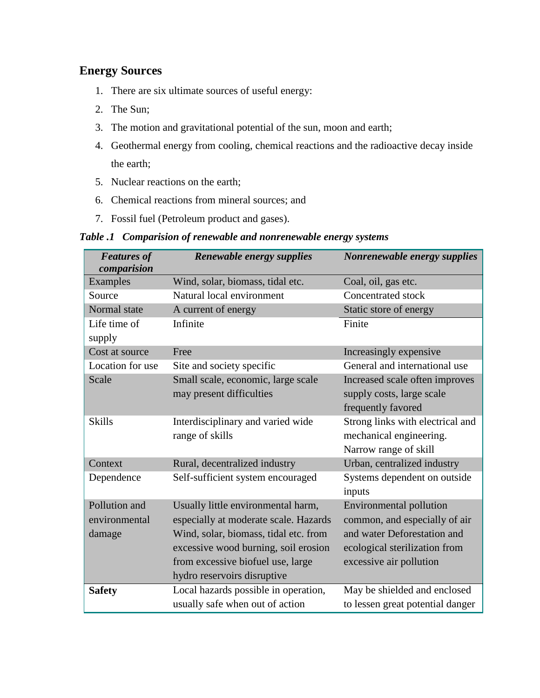# **Energy Sources**

- 1. There are six ultimate sources of useful energy:
- 2. The Sun;
- 3. The motion and gravitational potential of the sun, moon and earth;
- 4. Geothermal energy from cooling, chemical reactions and the radioactive decay inside the earth;
- 5. Nuclear reactions on the earth;
- 6. Chemical reactions from mineral sources; and
- 7. Fossil fuel (Petroleum product and gases).

## *Table .1 Comparision of renewable and nonrenewable energy systems*

| <b>Features of</b><br>comparision | Renewable energy supplies             | Nonrenewable energy supplies     |  |
|-----------------------------------|---------------------------------------|----------------------------------|--|
| Examples                          | Wind, solar, biomass, tidal etc.      | Coal, oil, gas etc.              |  |
| Source                            | Natural local environment             | <b>Concentrated stock</b>        |  |
| Normal state                      | A current of energy                   | Static store of energy           |  |
| Life time of<br>supply            | Infinite                              | Finite                           |  |
| Cost at source                    | Free                                  | Increasingly expensive           |  |
| Location for use                  | Site and society specific             | General and international use    |  |
| Scale                             | Small scale, economic, large scale    | Increased scale often improves   |  |
|                                   | may present difficulties              | supply costs, large scale        |  |
|                                   |                                       | frequently favored               |  |
| <b>Skills</b>                     | Interdisciplinary and varied wide     | Strong links with electrical and |  |
|                                   | range of skills                       | mechanical engineering.          |  |
|                                   |                                       | Narrow range of skill            |  |
| Context                           | Rural, decentralized industry         | Urban, centralized industry      |  |
| Dependence                        | Self-sufficient system encouraged     | Systems dependent on outside     |  |
|                                   |                                       | inputs                           |  |
| Pollution and                     | Usually little environmental harm,    | Environmental pollution          |  |
| environmental                     | especially at moderate scale. Hazards | common, and especially of air    |  |
| damage                            | Wind, solar, biomass, tidal etc. from | and water Deforestation and      |  |
|                                   | excessive wood burning, soil erosion  | ecological sterilization from    |  |
|                                   | from excessive biofuel use, large     | excessive air pollution          |  |
|                                   | hydro reservoirs disruptive           |                                  |  |
| <b>Safety</b>                     | Local hazards possible in operation,  | May be shielded and enclosed     |  |
|                                   | usually safe when out of action       | to lessen great potential danger |  |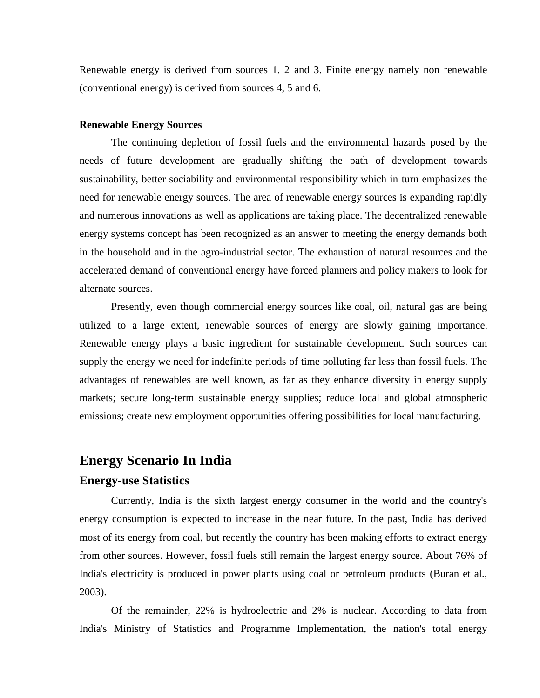Renewable energy is derived from sources 1. 2 and 3. Finite energy namely non renewable (conventional energy) is derived from sources 4, 5 and 6.

#### **Renewable Energy Sources**

The continuing depletion of fossil fuels and the environmental hazards posed by the needs of future development are gradually shifting the path of development towards sustainability, better sociability and environmental responsibility which in turn emphasizes the need for renewable energy sources. The area of renewable energy sources is expanding rapidly and numerous innovations as well as applications are taking place. The decentralized renewable energy systems concept has been recognized as an answer to meeting the energy demands both in the household and in the agro-industrial sector. The exhaustion of natural resources and the accelerated demand of conventional energy have forced planners and policy makers to look for alternate sources.

Presently, even though commercial energy sources like coal, oil, natural gas are being utilized to a large extent, renewable sources of energy are slowly gaining importance. Renewable energy plays a basic ingredient for sustainable development. Such sources can supply the energy we need for indefinite periods of time polluting far less than fossil fuels. The advantages of renewables are well known, as far as they enhance diversity in energy supply markets; secure long-term sustainable energy supplies; reduce local and global atmospheric emissions; create new employment opportunities offering possibilities for local manufacturing.

## **Energy Scenario In India**

#### **Energy-use Statistics**

Currently, India is the sixth largest energy consumer in the world and the country's energy consumption is expected to increase in the near future. In the past, India has derived most of its energy from coal, but recently the country has been making efforts to extract energy from other sources. However, fossil fuels still remain the largest energy source. About 76% of India's electricity is produced in power plants using coal or petroleum products (Buran et al., 2003).

Of the remainder, 22% is hydroelectric and 2% is nuclear. According to data from India's Ministry of Statistics and Programme Implementation, the nation's total energy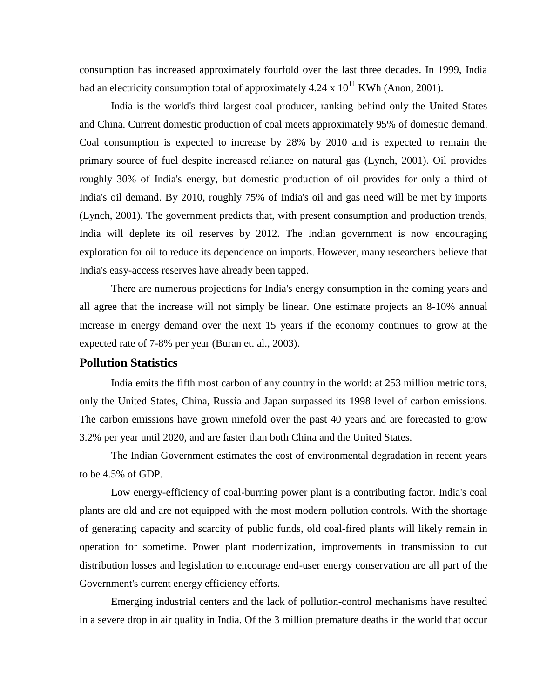consumption has increased approximately fourfold over the last three decades. In 1999, India had an electricity consumption total of approximately  $4.24 \times 10^{11}$  KWh (Anon, 2001).

India is the world's third largest coal producer, ranking behind only the United States and China. Current domestic production of coal meets approximately 95% of domestic demand. Coal consumption is expected to increase by 28% by 2010 and is expected to remain the primary source of fuel despite increased reliance on natural gas (Lynch, 2001). Oil provides roughly 30% of India's energy, but domestic production of oil provides for only a third of India's oil demand. By 2010, roughly 75% of India's oil and gas need will be met by imports (Lynch, 2001). The government predicts that, with present consumption and production trends, India will deplete its oil reserves by 2012. The Indian government is now encouraging exploration for oil to reduce its dependence on imports. However, many researchers believe that India's easy-access reserves have already been tapped.

There are numerous projections for India's energy consumption in the coming years and all agree that the increase will not simply be linear. One estimate projects an 8-10% annual increase in energy demand over the next 15 years if the economy continues to grow at the expected rate of 7-8% per year (Buran et. al., 2003).

## **Pollution Statistics**

India emits the fifth most carbon of any country in the world: at 253 million metric tons, only the United States, China, Russia and Japan surpassed its 1998 level of carbon emissions. The carbon emissions have grown ninefold over the past 40 years and are forecasted to grow 3.2% per year until 2020, and are faster than both China and the United States.

The Indian Government estimates the cost of environmental degradation in recent years to be 4.5% of GDP.

Low energy-efficiency of coal-burning power plant is a contributing factor. India's coal plants are old and are not equipped with the most modern pollution controls. With the shortage of generating capacity and scarcity of public funds, old coal-fired plants will likely remain in operation for sometime. Power plant modernization, improvements in transmission to cut distribution losses and legislation to encourage end-user energy conservation are all part of the Government's current energy efficiency efforts.

Emerging industrial centers and the lack of pollution-control mechanisms have resulted in a severe drop in air quality in India. Of the 3 million premature deaths in the world that occur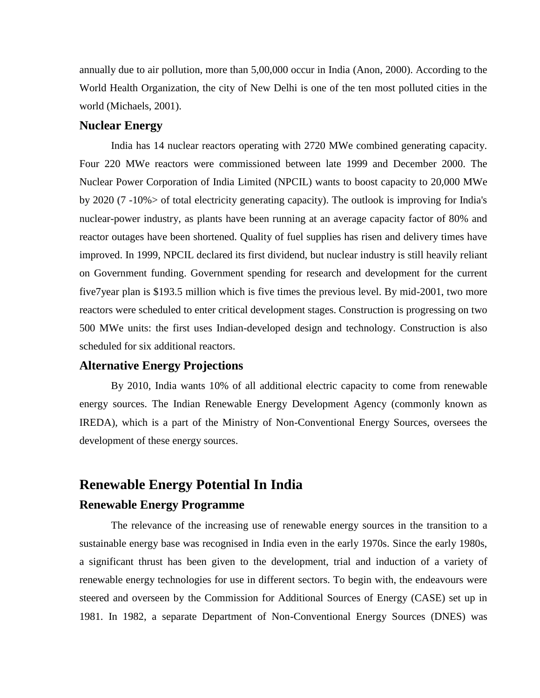annually due to air pollution, more than 5,00,000 occur in India (Anon, 2000). According to the World Health Organization, the city of New Delhi is one of the ten most polluted cities in the world (Michaels, 2001).

## **Nuclear Energy**

India has 14 nuclear reactors operating with 2720 MWe combined generating capacity. Four 220 MWe reactors were commissioned between late 1999 and December 2000. The Nuclear Power Corporation of India Limited (NPCIL) wants to boost capacity to 20,000 MWe by 2020 (7 -10%> of total electricity generating capacity). The outlook is improving for India's nuclear-power industry, as plants have been running at an average capacity factor of 80% and reactor outages have been shortened. Quality of fuel supplies has risen and delivery times have improved. In 1999, NPCIL declared its first dividend, but nuclear industry is still heavily reliant on Government funding. Government spending for research and development for the current five7year plan is \$193.5 million which is five times the previous level. By mid-2001, two more reactors were scheduled to enter critical development stages. Construction is progressing on two 500 MWe units: the first uses Indian-developed design and technology. Construction is also scheduled for six additional reactors.

### **Alternative Energy Projections**

By 2010, India wants 10% of all additional electric capacity to come from renewable energy sources. The Indian Renewable Energy Development Agency (commonly known as IREDA), which is a part of the Ministry of Non-Conventional Energy Sources, oversees the development of these energy sources.

# **Renewable Energy Potential In India Renewable Energy Programme**

The relevance of the increasing use of renewable energy sources in the transition to a sustainable energy base was recognised in India even in the early 1970s. Since the early 1980s, a significant thrust has been given to the development, trial and induction of a variety of renewable energy technologies for use in different sectors. To begin with, the endeavours were steered and overseen by the Commission for Additional Sources of Energy (CASE) set up in 1981. In 1982, a separate Department of Non-Conventional Energy Sources (DNES) was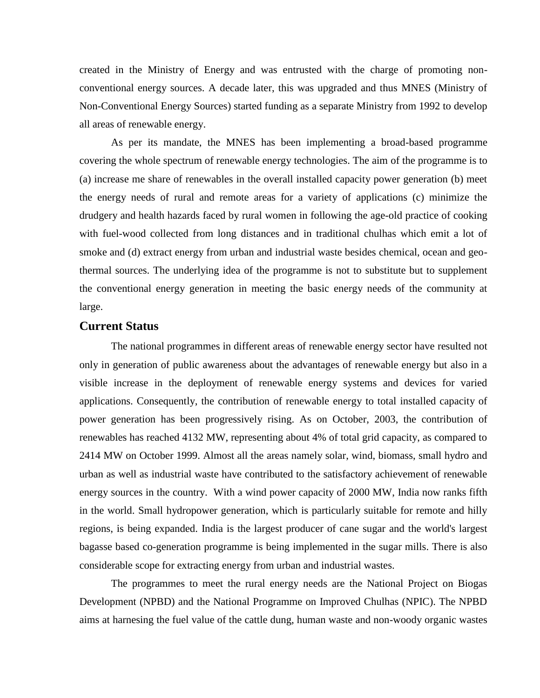created in the Ministry of Energy and was entrusted with the charge of promoting nonconventional energy sources. A decade later, this was upgraded and thus MNES (Ministry of Non-Conventional Energy Sources) started funding as a separate Ministry from 1992 to develop all areas of renewable energy.

As per its mandate, the MNES has been implementing a broad-based programme covering the whole spectrum of renewable energy technologies. The aim of the programme is to (a) increase me share of renewables in the overall installed capacity power generation (b) meet the energy needs of rural and remote areas for a variety of applications (c) minimize the drudgery and health hazards faced by rural women in following the age-old practice of cooking with fuel-wood collected from long distances and in traditional chulhas which emit a lot of smoke and (d) extract energy from urban and industrial waste besides chemical, ocean and geothermal sources. The underlying idea of the programme is not to substitute but to supplement the conventional energy generation in meeting the basic energy needs of the community at large.

## **Current Status**

The national programmes in different areas of renewable energy sector have resulted not only in generation of public awareness about the advantages of renewable energy but also in a visible increase in the deployment of renewable energy systems and devices for varied applications. Consequently, the contribution of renewable energy to total installed capacity of power generation has been progressively rising. As on October, 2003, the contribution of renewables has reached 4132 MW, representing about 4% of total grid capacity, as compared to 2414 MW on October 1999. Almost all the areas namely solar, wind, biomass, small hydro and urban as well as industrial waste have contributed to the satisfactory achievement of renewable energy sources in the country. With a wind power capacity of 2000 MW, India now ranks fifth in the world. Small hydropower generation, which is particularly suitable for remote and hilly regions, is being expanded. India is the largest producer of cane sugar and the world's largest bagasse based co-generation programme is being implemented in the sugar mills. There is also considerable scope for extracting energy from urban and industrial wastes.

The programmes to meet the rural energy needs are the National Project on Biogas Development (NPBD) and the National Programme on Improved Chulhas (NPIC). The NPBD aims at harnesing the fuel value of the cattle dung, human waste and non-woody organic wastes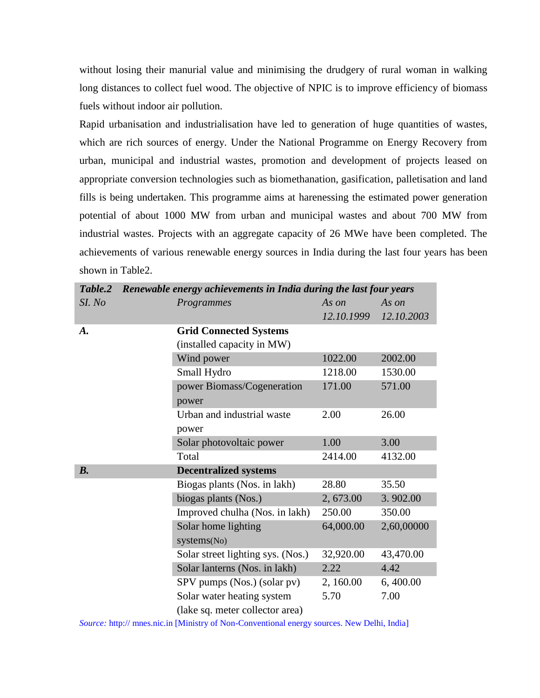without losing their manurial value and minimising the drudgery of rural woman in walking long distances to collect fuel wood. The objective of NPIC is to improve efficiency of biomass fuels without indoor air pollution.

Rapid urbanisation and industrialisation have led to generation of huge quantities of wastes, which are rich sources of energy. Under the National Programme on Energy Recovery from urban, municipal and industrial wastes, promotion and development of projects leased on appropriate conversion technologies such as biomethanation, gasification, palletisation and land fills is being undertaken. This programme aims at harenessing the estimated power generation potential of about 1000 MW from urban and municipal wastes and about 700 MW from industrial wastes. Projects with an aggregate capacity of 26 MWe have been completed. The achievements of various renewable energy sources in India during the last four years has been shown in Table2.

| Table.2 | Renewable energy achievements in India during the last four years |            |            |
|---------|-------------------------------------------------------------------|------------|------------|
| SI. No  | Programmes                                                        | As on      | As on      |
|         |                                                                   | 12.10.1999 | 12.10.2003 |
| A.      | <b>Grid Connected Systems</b>                                     |            |            |
|         | (installed capacity in MW)                                        |            |            |
|         | Wind power                                                        | 1022.00    | 2002.00    |
|         | Small Hydro                                                       | 1218.00    | 1530.00    |
|         | power Biomass/Cogeneration                                        | 171.00     | 571.00     |
|         | power                                                             |            |            |
|         | Urban and industrial waste                                        | 2.00       | 26.00      |
|         | power                                                             |            |            |
|         | Solar photovoltaic power                                          | 1.00       | 3.00       |
|         | Total                                                             | 2414.00    | 4132.00    |
| $B$ .   | <b>Decentralized systems</b>                                      |            |            |
|         | Biogas plants (Nos. in lakh)                                      | 28.80      | 35.50      |
|         | biogas plants (Nos.)                                              | 2, 673.00  | 3.902.00   |
|         | Improved chulha (Nos. in lakh)                                    | 250.00     | 350.00     |
|         | Solar home lighting                                               | 64,000.00  | 2,60,00000 |
|         | systems(No)                                                       |            |            |
|         | Solar street lighting sys. (Nos.)                                 | 32,920.00  | 43,470.00  |
|         | Solar lanterns (Nos. in lakh)                                     | 2.22       | 4.42       |
|         | SPV pumps (Nos.) (solar pv)                                       | 2, 160.00  | 6,400.00   |
|         | Solar water heating system                                        | 5.70       | 7.00       |
|         | (lake sq. meter collector area)                                   |            |            |

*Source:* http:// mnes.nic.in [Ministry of Non-Conventional energy sources. New Delhi, India]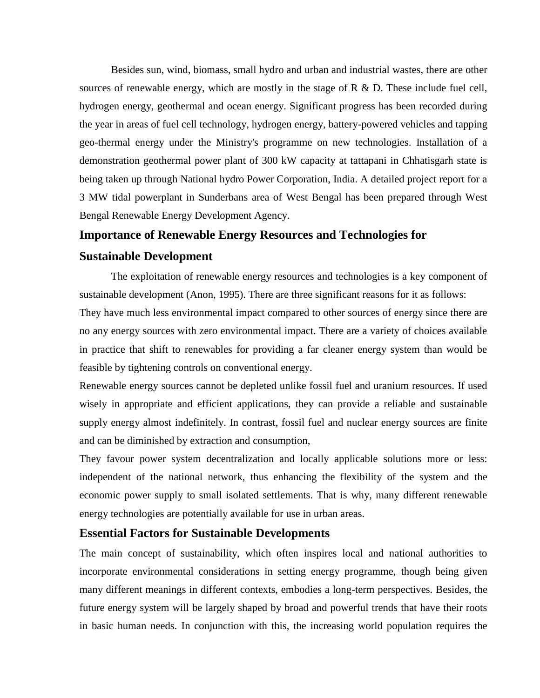Besides sun, wind, biomass, small hydro and urban and industrial wastes, there are other sources of renewable energy, which are mostly in the stage of  $R \& D$ . These include fuel cell, hydrogen energy, geothermal and ocean energy. Significant progress has been recorded during the year in areas of fuel cell technology, hydrogen energy, battery-powered vehicles and tapping geo-thermal energy under the Ministry's programme on new technologies. Installation of a demonstration geothermal power plant of 300 kW capacity at tattapani in Chhatisgarh state is being taken up through National hydro Power Corporation, India. A detailed project report for a 3 MW tidal powerplant in Sunderbans area of West Bengal has been prepared through West Bengal Renewable Energy Development Agency.

### **Importance of Renewable Energy Resources and Technologies for**

#### **Sustainable Development**

The exploitation of renewable energy resources and technologies is a key component of sustainable development (Anon, 1995). There are three significant reasons for it as follows: They have much less environmental impact compared to other sources of energy since there are no any energy sources with zero environmental impact. There are a variety of choices available in practice that shift to renewables for providing a far cleaner energy system than would be feasible by tightening controls on conventional energy.

Renewable energy sources cannot be depleted unlike fossil fuel and uranium resources. If used wisely in appropriate and efficient applications, they can provide a reliable and sustainable supply energy almost indefinitely. In contrast, fossil fuel and nuclear energy sources are finite and can be diminished by extraction and consumption,

They favour power system decentralization and locally applicable solutions more or less: independent of the national network, thus enhancing the flexibility of the system and the economic power supply to small isolated settlements. That is why, many different renewable energy technologies are potentially available for use in urban areas.

#### **Essential Factors for Sustainable Developments**

The main concept of sustainability, which often inspires local and national authorities to incorporate environmental considerations in setting energy programme, though being given many different meanings in different contexts, embodies a long-term perspectives. Besides, the future energy system will be largely shaped by broad and powerful trends that have their roots in basic human needs. In conjunction with this, the increasing world population requires the